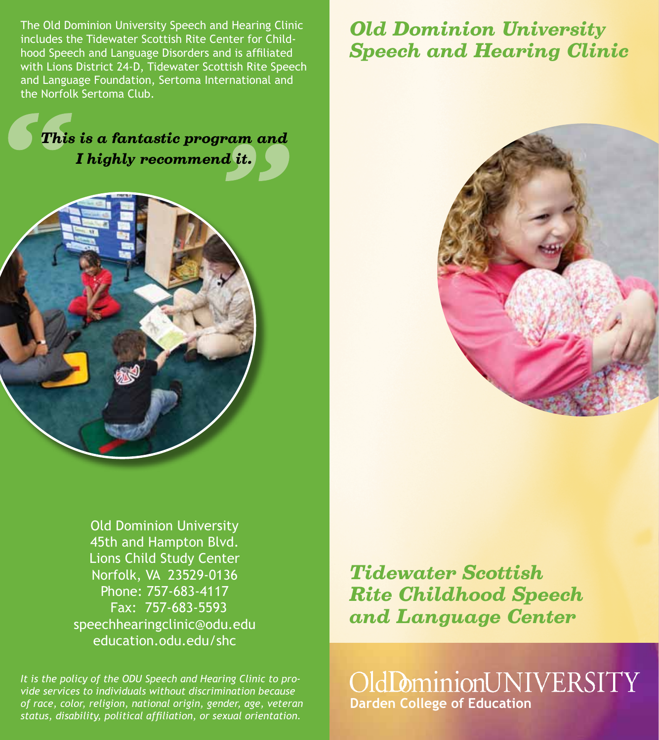The Old Dominion University Speech and Hearing Clinic includes the Tidewater Scottish Rite Center for Childhood Speech and Language Disorders and is affiliated with Lions District 24-D, Tidewater Scottish Rite Speech and Language Foundation, Sertoma International and the Norfolk Sertoma Club.

## *Old Dominion University Speech and Hearing Clinic*

# *This is a fantastic program and I highly recommend it.*





Old Dominion University 45th and Hampton Blvd. Lions Child Study Center Norfolk, VA 23529-0136 Phone: 757-683-4117 Fax: 757-683-5593 speechhearingclinic@odu.edu education.odu.edu/shc

*It is the policy of the ODU Speech and Hearing Clinic to provide services to individuals without discrimination because of race, color, religion, national origin, gender, age, veteran status, disability, political affiliation, or sexual orientation.*

*Tidewater Scottish Rite Childhood Speech and Language Center*

OldDominionUNIVERSITY **Darden College of Education**